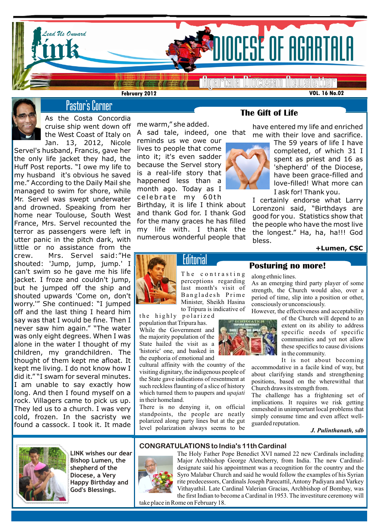

Agartala Diocesan Newsletter

**The Gift of Life**

**VOL. 16 No.02**



# Pastor's Corner

ad Us Onward

As the Costa Concordia cruise ship went down off the West Coast of Italy on Jan. 13, 2012, Nicole

did it." I swam for several minutes.  $\left[\begin{array}{cc} \text{vssu} \\ \text{the} \\ \text{on} \end{array}\right]$ Servel's husband, Francis, gave her the only life jacket they had, the Huff Post reports. "I owe my life to my husband it's obvious he saved me." According to the Daily Mail she managed to swim for shore, while Mr. Servel was swept underwater and drowned. Speaking from her home near Toulouse, South West France, Mrs. Servel recounted the terror as passengers were left in utter panic in the pitch dark, with little or no assistance from the crew. Mrs. Servel said:"He shouted: 'Jump, jump, jump.' I can't swim so he gave me his life jacket. I froze and couldn't jump, but he jumped off the ship and shouted upwards 'Come on, don't worry.'" She continued: "I jumped off and the last thing I heard him say was that I would be fine. Then I never saw him again." "The water was only eight degrees. When I was alone in the water I thought of my children, my grandchildren. The thought of them kept me afloat. It kept me living. I do not know how I I am unable to say exactly how long. And then I found myself on a rock. Villagers came to pick us up. They led us to a church. I was very cold, frozen. In the sacristy we found a cassock. I took it. It made



**LINK wishes our dear Bishop Lumen, the shepherd of the Diocese, a Very Happy Birthday and God's Blessings.**

me warm," she added.

**February 2012**

A sad tale, indeed, one that reminds us we owe our

lives to people that come into it; it's even sadder because the Servel story is a real-life story that happened less than a month ago. Today as I celebrate my 60th

Birthday, it is life I think about and thank God for. I thank God for the many graces he has filled my life with. I thank the numerous wonderful people that



The 59 years of life I have completed, of which 31 I spent as priest and 16 as 'shepherd' of the Diocese, have been grace-filled and love-filled! What more can I ask for! Thank you.

have entered my life and enriched me with their love and sacrifice.

I certainly endorse what Larry Lorenzoni said, "Birthdays are good for you. Statistics show that the people who have the most live the longest." Ha, ha, ha!!! God bless.

As an emerging third party player of some strength, the Church would also, over a period of time, slip into a position or other,

#### **+Lumen, CSC**



# Editorial

The contrasting perceptions regarding last month's visit of Bangladesh Prime Minister, Sheikh Hasina to Tripura is indicative of

the highly polarized population that Tripura has. While the Government and the majority population of the State hailed the visit as a 'historic' one, and basked in the euphoria of emotional and

cultural affinity with the country of the visiting dignitary, the indigenous people of the State gave indications of resentment at such reckless flaunting of a slice of history which turned them to paupers and *upajati* in their homeland.

There is no denying it, on official standpoints, the people are neatly polarized along party lines but at the gut level polarization always seems to be



along ethnic lines.

consciously or unconsciously.

**Posturing no more!**

However, the effectiveness and acceptability of the Church will depend to an extent on its ability to address specific needs of specific communities and yet not allow these specifics to cause divisions

in the community.

It is not about becoming accommodative in a facile kind of way, but about clarifying stands and strengthening positions, based on the wherewithal that Church draws its strength from.

The challenge has a frightening set of implications. It requires we risk getting enmeshed in unimportant local problems that simply consume time and even affect wellguarded reputation.

*J. Pulinthanath, sdb*

#### **CONGRATULATIONS to India's 11th Cardinal**



The Holy Father Pope Benedict XVI named 22 new Cardinals including Major Archbishop George Alencherry, from India. The new Cardinaldesignate said his appointment was a recognition for the country and the Syro Malabar Church and said he would follow the examples of his Syrian rite predecessors, Cardinals Joseph Parecattil, Antony Padiyara and Varkey Vithayathil. Late Cardinal Valerian Gracias, Archbishop of Bombay, was the first Indian to become a Cardinal in 1953. The investiture ceremony will

take place in Rome on February 18.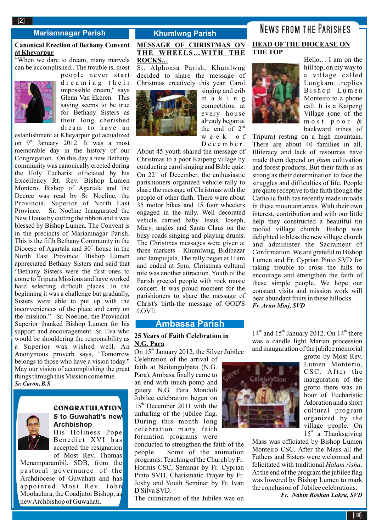#### **Mariamnagar Parish Khumlwng Parish**

#### **Canonical Erection of Bethany Convent at Kheyarpur**

"When we dare to dream, many marvels can be accomplished.. The trouble is, most



people never start d r e a m i n g th e i r impossible dream," says Glenn Van Ekeren. This saying seems to be true for Bethany Sisters as their long cherished dream to have an

 $\mathbb{R}^2$ establishment at Kheyarpur got actualized on  $9<sup>th</sup>$  January 2012. It was a most memorable day in the history of our Congregation. On this day a new Bethany community was canonically erected during the Holy Eucharist officiated by his Excellency Rt. Rev. Bishop Lumen Montero, Bishop of Agartala and the Decree was read by Sr. Noeline, the Provincial Superior of North East Province. Sr. Noeline Inaugurated the New House by cutting the ribbon and it was blessed by Bishop Lumen. The Convent is in the precincts of Mariamnagar Parish. This is the fifth Bethany Community in the Diocese of Agartala and  $30<sup>th</sup>$  house in the North East Province. Bishop Lumen appreciated Bethany Sisters and said that "Bethany Sisters were the first ones to come to Tripura Missions and have worked hard selecting difficult places. In the beginning it was a challenge but gradually, Sisters were able to put up with the inconveniences of the place and carry on the mission." Sr. Noeline, the Provincial Superior thanked Bishop Lumen for his support and encouragement. Sr. Eva who would be shouldering the responsibility as a Superior was wished well. An Anonymous proverb says, "Tomorrow belongs to those who have a vision today." May our vision of accomplishing the great things through this Mission come true. *Sr. Caron, B.S*



#### **CONGRATULATION S to Guwahati's new**

**Archbishop**  His Holiness Pope Benedict XVI has accepted the resignation of Most Rev. Thomas

Menamparambil, SDB, from the pastoral governance of the Archdiocese of Guwahati and has appointed Most Rev. John Moolachira, the Coadjutor Bishop, as new Archbishop of Guwahati.

#### **MESSAGE OF CHRISTMAS ON THE WHEELS…WITH THE ROCKS…**

St. Alphonsa Parish, Khumlwng decided to share the message of Christmas creatively this year. Carol



singing and crib m a k i n g competition at every house already began at the end of  $2<sup>nd</sup>$ w e e k o f D e c e m b e r .

About 45 youth shared the message of Christmas to a poor Kaipeng village by conducting carol singing and Bible quiz. On  $22<sup>nd</sup>$  of December, the enthusiastic parishioners organized vehicle rally to share the message of Christmas with the people of other faith. There were about 35 motor bikes and 15 four wheelers engaged in the rally. Well decorated vehicle carried baby Jesus, Joseph, Mary, angles and Santa Claus on the busy roads singing and playing drums. The Christmas messages were given at three markets - Khumlwng, Bidibazar and Jampuijala. The rally began at 11am and ended at 5pm. Christmas cultural nite was another attraction. Youth of the Parish greeted people with rock music concert. It was proud moment for the parishioners to share the message of Christ's birth-the message of GOD'S LOVE.

### **Ambassa Parish**

#### **25 Years of Faith Celebration in N.G. Para**

On  $15<sup>th</sup>$  January 2012, the Silver Jubilee Celebration of the arrival of

faith at Neitungulpara (N.G. Para), Ambasa finally came to an end with much pomp and gaiety. N.G. Para Mondoli Jubilee celebration began on  $15<sup>th</sup>$  December 2011 with the unfurling of the jubilee flag. During this month long celebration many faith formation programs were

conducted to strengthen the faith of the people. Some of the animation programs: Teaching of the Church by Fr. Hormis CSC, Seminar by Fr. Cyprian Pinto SVD, Charismatic Prayer by Fr. Joshy and Youth Seminar by Fr. Ivan D'Silva SVD.

The culmination of the Jubilee was on

## News from the Parishes **HEAD OF THE DIOCEASE ON THE TOP**



Hello… I am on the hill top, on my way to a village called Lungkam…replies B i s h o p L u m e n Monteiro to a phone call. It is a Kaipeng Village (one of the m o s t p o o r & backward tribes of

Tripura) resting on a high mountain. There are about 40 families in all. Illiteracy and lack of resources have made them depend on *jhum* cultivation and forest products. But their faith is as strong as their determination to face the struggles and difficulties of life. People are quite receptive to the faith though the Catholic faith has recently made inroads in these mountain areas. With their own interest, contribution and with our little help they constructed a beautiful tin roofed village church. Bishop was delighted to bless the new village church and administer the Sacrament of Confirmation. We are grateful to Bishop Lumen and Fr. Cyprian Pinto SVD for taking trouble to cross the hills to encourage and strengthen the faith of these simple people. We hope our constant visits and mission work will bear abundant fruits in these hillocks. *Fr. Arun Minj, SVD*

 $14<sup>th</sup>$  and  $15<sup>th</sup>$  January 2012. On  $14<sup>th</sup>$  there was a candle light Marian procession and inauguration of the jubilee memorial



grotto by Most Rev. Lumen Monterio, CSC. After the inauguration of the grotto there was an hour of Eucharistic Adoration and a short cultural program organized by the village people. On  $15<sup>th</sup>$  a Thanksgiving

Mass was officiated by Bishop Lumen Monteiro CSC. After the Mass all the Fathers and Sisters were welcomed and felicitated with traditional *Halam risha*. At the end of the program the jubilee flag was lowered by Bishop Lumen to mark the conclusion of Jubilee celebrations. *Fr. Nabin Roshan Lakra, SVD*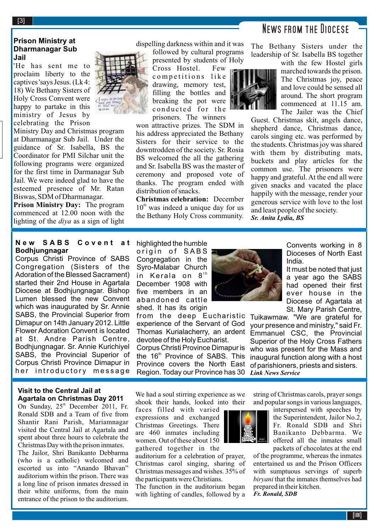# News from the Diocese

#### **Prison Ministry at Dharmanagar Sub Jail**

'He has sent me to proclaim liberty to the captives 'says Jesus. (Lk 4: 18) We Bethany Sisters of Holy Cross Convent were happy to partake in this ministry of Jesus by celebrating the Prison

Ministry Day and Christmas program at Dharmanagar Sub Jail. Under the guidance of Sr. Isabella, BS the Coordinator for PMI Silchar unit the following programs were organized for the first time in Darmanagar Sub Jail. We were indeed glad to have the esteemed presence of Mr. Ratan Biswas, SDM of Dharmanagar.

**Prison Ministry Day:** The program commenced at 12.00 noon with the lighting of the *diya* as a sign of light

#### **N e w S A B S C o v e n t a t Bodhjungnagar**

Corpus Christi Province of SABS Congregation (Sisters of the Adoration of the Blessed Sacrament) started their 2nd House in Agartala Diocese at Bodhjungnagar. Bishop Lumen blessed the new Convent which was inaugurated by Sr. Annie SABS, the Provincial Superior from Dimapur on 14th January 2012. Little Flower Adoration Convent is located at St. Andre Parish Centre, Bodhjungnagar. Sr. Annie Kurichiyel SABS, the Provincial Superior of Corpus Christi Province Dimapur in her introductory message

#### **Visit to the Central Jail at Agartala on Christmas Day 2011**

On Sunday,  $25<sup>th</sup>$  December 2011, Fr. Ronald SDB and a Team of five from Shantir Rani Parish, Mariamnagar visited the Central Jail at Agartala and spent about three hours to celebrate the Christmas Day with the prison inmates. The Jailor, Shri Banikanto Debbarma (who is a catholic) welcomed and escorted us into "Anando Bhavan" auditorium within the prison. There was a long line of prison inmates dressed in their white uniforms, from the main entrance of the prison to the auditorium.

#### dispelling darkness within and it was

followed by cultural programs presented by students of Holy

Cross Hostel. Few competitions like drawing, memory test, filling the bottles and breaking the pot were conducted for the prisoners. The winners

won attractive prizes. The SDM in his address appreciated the Bethany Sisters for their service to the downtrodden of the society. Sr. Rosia BS welcomed the all the gathering and Sr. Isabella BS was the master of ceremony and proposed vote of thanks. The program ended with distribution of snacks.

**Christmas celebration:** December  $10<sup>th</sup>$  was indeed a unique day for us the Bethany Holy Cross community.

The Bethany Sisters under the leadership of Sr. Isabella BS together



with the few Hostel girls marched towards the prison. The Christmas joy, peace and love could be sensed all around. The short program commenced at 11.15 am. The Jailer was the Chief

Guest. Christmas skit, angels dance, shepherd dance, Christmas dance, carols singing etc. was performed by the students. Christmas joy was shared with them by distributing mats, buckets and play articles for the common use. The prisoners were happy and grateful. At the end all were given snacks and vacated the place happily with the message, render your generous service with love to the lost and least people of the society. *Sr. Anita Lydia, BS*

highlighted the humble origin of SABS Congregation in the Syro-Malabar Church in Kerala on 8<sup>th</sup> December 1908 with five members in an abandoned cattle shed. It has its origin

from the deep Eucharistic Tuikawmaw. "We are grateful for experience of the Servant of God Thomas Kurialacherry, an ardent devotee of the Holy Eucharist.

Corpus Christi Province Dimapur is the 16<sup>th</sup> Province of SABS. This Province covers the North East Region. Today our Province has 30



Convents working in 8 Dioceses of North East India.

It must be noted that just a year ago the SABS had opened their first ever house in the Diocese of Agartala at St. Mary Parish Centre,

your presence and ministry," said Fr. Emmanuel CSC, the Provincial Superior of the Holy Cross Fathers who was present for the Mass and inaugural function along with a host of parishioners, priests and sisters. *Link News Service*

We had a soul stirring experience as we shook their hands, looked into their

faces filled with varied expressions and exchanged Christmas Greetings. There are 460 inmates including women. Out of these about 150 gathered together in the

auditorium for a celebration of prayer, Christmas carol singing, sharing of Christmas messages and wishes. 35% of the participants were Christians.

The function in the auditorium began with lighting of candles, followed by a



interspersed with speeches by the Superintendent, Jailor No.2, Fr. Ronald SDB and Shri Banikanto Debbarma. We offered all the inmates small packets of chocolates at the end

of the programme, whereas the inmates entertained us and the Prison Officers with sumptuous servings of superb *biryani* that the inmates themselves had prepared in their kitchen. *Fr. Ronald, SDB*